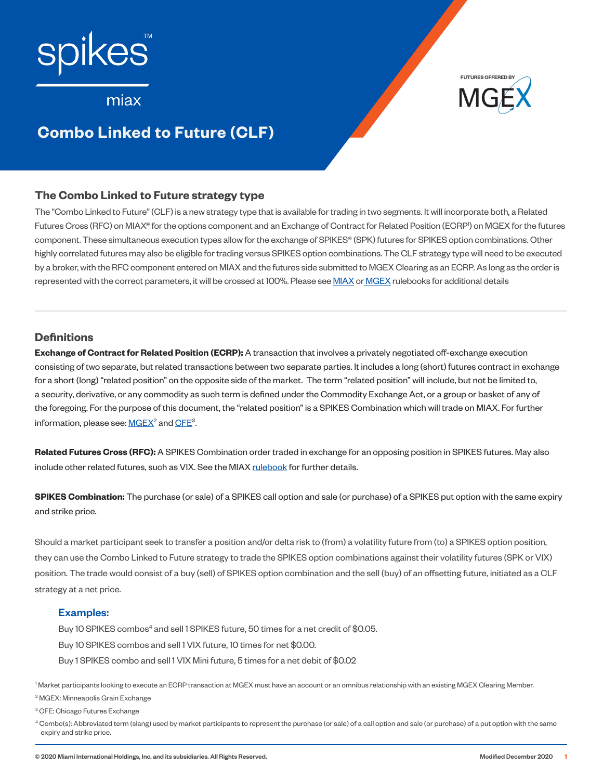

**FUTURES OFFERED BY**

# **Example**

# **Combo Linked to Future (CLF)**

### **The Combo Linked to Future strategy type**

The "Combo Linked to Future" (CLF) is a new strategy type that is available for trading in two segments. It will incorporate both, a Related Futures Cross (RFC) on MIAX® for the options component and an Exchange of Contract for Related Position (ECRP<sup>i</sup>) on MGEX for the futures component. These simultaneous execution types allow for the exchange of SPIKES® (SPK) futures for SPIKES option combinations. Other highly correlated futures may also be eligible for trading versus SPIKES option combinations. The CLF strategy type will need to be executed by a broker, with the RFC component entered on MIAX and the futures side submitted to MGEX Clearing as an ECRP. As long as the order is represented with the correct parameters, it will be crossed at 100%. Please see [MIAX](https://www.miaxoptions.com/rulebook) or [MGEX](http://www.mgex.com/regulation.html) rulebooks for additional details

### **Definitions**

**Exchange of Contract for Related Position (ECRP):** A transaction that involves a privately negotiated off-exchange execution consisting of two separate, but related transactions between two separate parties. It includes a long (short) futures contract in exchange for a short (long) "related position" on the opposite side of the market. The term "related position" will include, but not be limited to, a security, derivative, or any commodity as such term is defined under the Commodity Exchange Act, or a group or basket of any of the foregoing. For the purpose of this document, the "related position" is a SPIKES Combination which will trade on MIAX. For further information, please see:  $\underline{\mathsf{MGEX}}{}^{\mathsf{2}}$  and  $\underline{\mathsf{CFE}}{}^{\mathsf{3}}$  $\underline{\mathsf{CFE}}{}^{\mathsf{3}}$  $\underline{\mathsf{CFE}}{}^{\mathsf{3}}$ .

**Related Futures Cross (RFC):** A SPIKES Combination order traded in exchange for an opposing position in SPIKES futures. May also include other related futures, such as VIX. See the MIAX [rulebook](https://www.miaxoptions.com/rulebook) for further details.

**SPIKES Combination:** The purchase (or sale) of a SPIKES call option and sale (or purchase) of a SPIKES put option with the same expiry and strike price.

Should a market participant seek to transfer a position and/or delta risk to (from) a volatility future from (to) a SPIKES option position, they can use the Combo Linked to Future strategy to trade the SPIKES option combinations against their volatility futures (SPK or VIX) position. The trade would consist of a buy (sell) of SPIKES option combination and the sell (buy) of an offsetting future, initiated as a CLF strategy at a net price.

#### Examples:

Buy 10 SPIKES combos<sup>4</sup> and sell 1 SPIKES future, 50 times for a net credit of \$0.05. Buy 10 SPIKES combos and sell 1 VIX future, 10 times for net \$0.00. Buy 1 SPIKES combo and sell 1 VIX Mini future, 5 times for a net debit of \$0.02

1 Market participants looking to execute an ECRP transaction at MGEX must have an account or an omnibus relationship with an existing MGEX Clearing Member.

2 MGEX: Minneapolis Grain Exchange

<sup>3</sup> CFE: Chicago Futures Exchange

<sup>4</sup> Combo(s): Abbreviated term (slang) used by market participants to represent the purchase (or sale) of a call option and sale (or purchase) of a put option with the same expiry and strike price.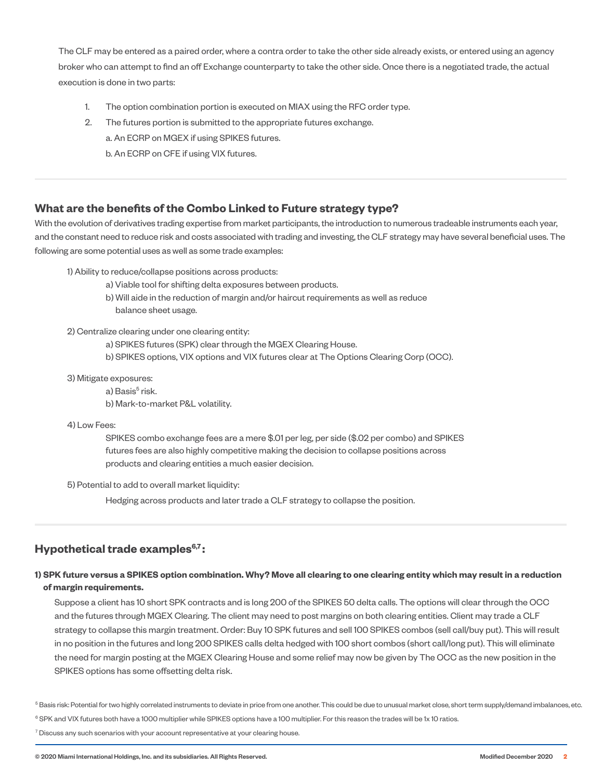The CLF may be entered as a paired order, where a contra order to take the other side already exists, or entered using an agency broker who can attempt to find an off Exchange counterparty to take the other side. Once there is a negotiated trade, the actual execution is done in two parts:

- 1. The option combination portion is executed on MIAX using the RFC order type.
- 2. The futures portion is submitted to the appropriate futures exchange.
	- a. An ECRP on MGEX if using SPIKES futures.

b. An ECRP on CFE if using VIX futures.

### **What are the benefits of the Combo Linked to Future strategy type?**

With the evolution of derivatives trading expertise from market participants, the introduction to numerous tradeable instruments each year, and the constant need to reduce risk and costs associated with trading and investing, the CLF strategy may have several beneficial uses. The following are some potential uses as well as some trade examples:

- 1) Ability to reduce/collapse positions across products:
	- a) Viable tool for shifting delta exposures between products.
	- b) Will aide in the reduction of margin and/or haircut requirements as well as reduce balance sheet usage.

2) Centralize clearing under one clearing entity:

- a) SPIKES futures (SPK) clear through the MGEX Clearing House.
- b) SPIKES options, VIX options and VIX futures clear at The Options Clearing Corp (OCC).

3) Mitigate exposures:

a) Basis<sup>5</sup> risk. b) Mark-to-market P&L volatility.

4) Low Fees:

 SPIKES combo exchange fees are a mere \$.01 per leg, per side (\$.02 per combo) and SPIKES futures fees are also highly competitive making the decision to collapse positions across products and clearing entities a much easier decision.

5) Potential to add to overall market liquidity:

Hedging across products and later trade a CLF strategy to collapse the position.

## **Hypothetical trade examples<sup>6,7</sup>:**

#### **1) SPK future versus a SPIKES option combination. Why? Move all clearing to one clearing entity which may result in a reduction of margin requirements.**

Suppose a client has 10 short SPK contracts and is long 200 of the SPIKES 50 delta calls. The options will clear through the OCC and the futures through MGEX Clearing. The client may need to post margins on both clearing entities. Client may trade a CLF strategy to collapse this margin treatment. Order: Buy 10 SPK futures and sell 100 SPIKES combos (sell call/buy put). This will result in no position in the futures and long 200 SPIKES calls delta hedged with 100 short combos (short call/long put). This will eliminate the need for margin posting at the MGEX Clearing House and some relief may now be given by The OCC as the new position in the SPIKES options has some offsetting delta risk.

<sup>5</sup> Basis risk: Potential for two highly correlated instruments to deviate in price from one another. This could be due to unusual market close, short term supply/demand imbalances, etc. <sup>6</sup> SPK and VIX futures both have a 1000 multiplier while SPIKES options have a 100 multiplier. For this reason the trades will be 1x 10 ratios.

 $7$  Discuss any such scenarios with your account representative at your clearing house.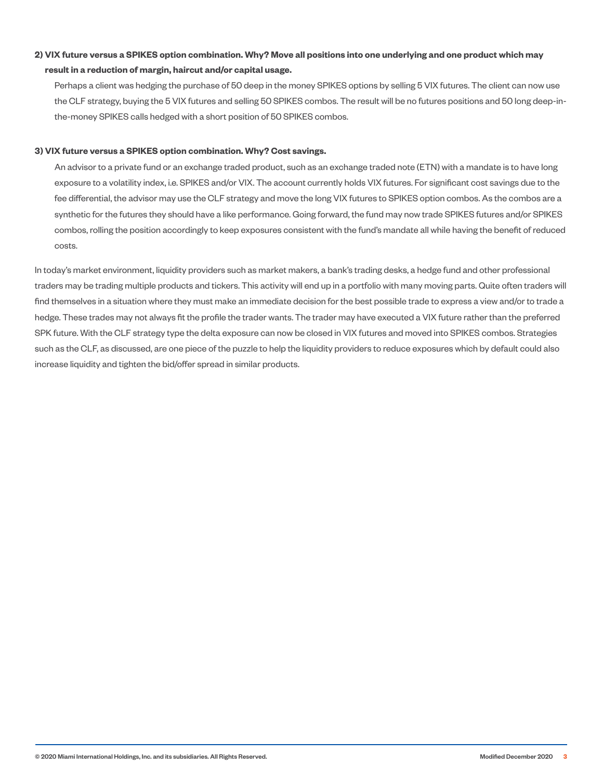### **2) VIX future versus a SPIKES option combination. Why? Move all positions into one underlying and one product which may result in a reduction of margin, haircut and/or capital usage.**

Perhaps a client was hedging the purchase of 50 deep in the money SPIKES options by selling 5 VIX futures. The client can now use the CLF strategy, buying the 5 VIX futures and selling 50 SPIKES combos. The result will be no futures positions and 50 long deep-inthe-money SPIKES calls hedged with a short position of 50 SPIKES combos.

#### **3) VIX future versus a SPIKES option combination. Why? Cost savings.**

An advisor to a private fund or an exchange traded product, such as an exchange traded note (ETN) with a mandate is to have long exposure to a volatility index, i.e. SPIKES and/or VIX. The account currently holds VIX futures. For significant cost savings due to the fee differential, the advisor may use the CLF strategy and move the long VIX futures to SPIKES option combos. As the combos are a synthetic for the futures they should have a like performance. Going forward, the fund may now trade SPIKES futures and/or SPIKES combos, rolling the position accordingly to keep exposures consistent with the fund's mandate all while having the benefit of reduced costs.

In today's market environment, liquidity providers such as market makers, a bank's trading desks, a hedge fund and other professional traders may be trading multiple products and tickers. This activity will end up in a portfolio with many moving parts. Quite often traders will find themselves in a situation where they must make an immediate decision for the best possible trade to express a view and/or to trade a hedge. These trades may not always fit the profile the trader wants. The trader may have executed a VIX future rather than the preferred SPK future. With the CLF strategy type the delta exposure can now be closed in VIX futures and moved into SPIKES combos. Strategies such as the CLF, as discussed, are one piece of the puzzle to help the liquidity providers to reduce exposures which by default could also increase liquidity and tighten the bid/offer spread in similar products.